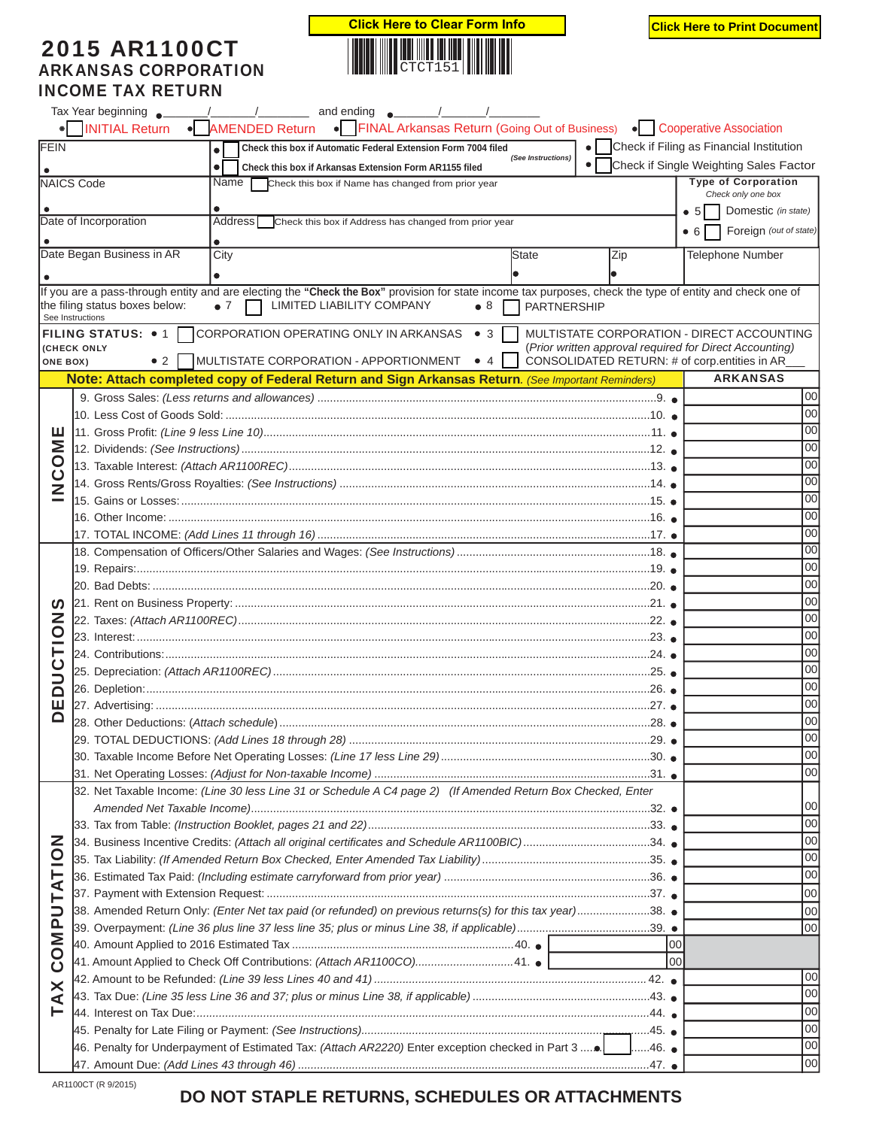## 2015 AR1100CT ARKANSAS CORPORATION INCOME TAX RETURN



|                                    | • FINAL Arkansas Return (Going Out of Business) • Cooperative Association<br><b>INITIAL Return</b><br>• AMENDED Return                                                                                                                                                                          |                 |                                                         |  |  |  |  |  |  |
|------------------------------------|-------------------------------------------------------------------------------------------------------------------------------------------------------------------------------------------------------------------------------------------------------------------------------------------------|-----------------|---------------------------------------------------------|--|--|--|--|--|--|
| FEIN                               | Check this box if Automatic Federal Extension Form 7004 filed<br>$\bullet$                                                                                                                                                                                                                      |                 | Check if Filing as Financial Institution                |  |  |  |  |  |  |
|                                    | (See Instructions)<br>$\bullet$ 1<br>$\bullet$<br>Check this box if Arkansas Extension Form AR1155 filed                                                                                                                                                                                        |                 | Check if Single Weighting Sales Factor                  |  |  |  |  |  |  |
|                                    | <b>NAICS Code</b><br>Name I<br>Check this box if Name has changed from prior year                                                                                                                                                                                                               |                 | <b>Type of Corporation</b>                              |  |  |  |  |  |  |
|                                    |                                                                                                                                                                                                                                                                                                 |                 | Check only one box                                      |  |  |  |  |  |  |
|                                    | Date of Incorporation<br>Address  <br>Check this box if Address has changed from prior year                                                                                                                                                                                                     |                 | Domestic (in state)<br>• 5                              |  |  |  |  |  |  |
|                                    |                                                                                                                                                                                                                                                                                                 |                 | Foreign (out of state)<br>• 6                           |  |  |  |  |  |  |
|                                    | Date Began Business in AR<br>City<br><b>State</b><br>Zip                                                                                                                                                                                                                                        |                 | <b>Telephone Number</b>                                 |  |  |  |  |  |  |
|                                    |                                                                                                                                                                                                                                                                                                 |                 |                                                         |  |  |  |  |  |  |
|                                    | If you are a pass-through entity and are electing the "Check the Box" provision for state income tax purposes, check the type of entity and check one of<br>the filing status boxes below:<br>$\bullet$ 7<br>LIMITED LIABILITY COMPANY<br>$\bullet$ 8<br><b>PARTNERSHIP</b><br>See Instructions |                 |                                                         |  |  |  |  |  |  |
|                                    | <b>FILING STATUS:</b> $\bullet$ 1 CORPORATION OPERATING ONLY IN ARKANSAS $\bullet$ 3                                                                                                                                                                                                            |                 | MULTISTATE CORPORATION - DIRECT ACCOUNTING              |  |  |  |  |  |  |
|                                    | <b>(CHECK ONLY</b>                                                                                                                                                                                                                                                                              |                 | (Prior written approval required for Direct Accounting) |  |  |  |  |  |  |
| <b>ONE BOX)</b>                    | MULTISTATE CORPORATION - APPORTIONMENT<br>$\bullet$ 2<br>$\bullet$ 4                                                                                                                                                                                                                            |                 | CONSOLIDATED RETURN: # of corp.entities in AR_          |  |  |  |  |  |  |
|                                    | Note: Attach completed copy of Federal Return and Sign Arkansas Return. (See Important Reminders)                                                                                                                                                                                               |                 | <b>ARKANSAS</b>                                         |  |  |  |  |  |  |
|                                    |                                                                                                                                                                                                                                                                                                 |                 | 00                                                      |  |  |  |  |  |  |
|                                    |                                                                                                                                                                                                                                                                                                 |                 | 00 <sup>1</sup><br>00 <sup>1</sup>                      |  |  |  |  |  |  |
| ΣÑ                                 |                                                                                                                                                                                                                                                                                                 |                 |                                                         |  |  |  |  |  |  |
|                                    |                                                                                                                                                                                                                                                                                                 |                 | 00 <sup>1</sup>                                         |  |  |  |  |  |  |
|                                    |                                                                                                                                                                                                                                                                                                 |                 | 00 <sup>1</sup><br>00 <sup>1</sup>                      |  |  |  |  |  |  |
| DOD                                |                                                                                                                                                                                                                                                                                                 |                 | 00 <sup>1</sup>                                         |  |  |  |  |  |  |
|                                    |                                                                                                                                                                                                                                                                                                 |                 | 00 <sup>1</sup>                                         |  |  |  |  |  |  |
|                                    |                                                                                                                                                                                                                                                                                                 |                 | 00 <sup>1</sup>                                         |  |  |  |  |  |  |
|                                    | 17. TOTAL INCOME: <i>(Add Lines 11 through 16)…………………………………………………………………………………………</i> 17. ●                                                                                                                                                                                                      |                 | 00                                                      |  |  |  |  |  |  |
|                                    |                                                                                                                                                                                                                                                                                                 |                 | 00                                                      |  |  |  |  |  |  |
|                                    |                                                                                                                                                                                                                                                                                                 |                 | 00                                                      |  |  |  |  |  |  |
|                                    |                                                                                                                                                                                                                                                                                                 |                 | 00                                                      |  |  |  |  |  |  |
| U)<br>Z<br>$\overline{\mathsf{C}}$ |                                                                                                                                                                                                                                                                                                 |                 | 00                                                      |  |  |  |  |  |  |
|                                    |                                                                                                                                                                                                                                                                                                 |                 | 00                                                      |  |  |  |  |  |  |
| ⊢                                  |                                                                                                                                                                                                                                                                                                 |                 | 00                                                      |  |  |  |  |  |  |
| ن<br>د                             |                                                                                                                                                                                                                                                                                                 |                 | 00                                                      |  |  |  |  |  |  |
|                                    |                                                                                                                                                                                                                                                                                                 |                 | 00                                                      |  |  |  |  |  |  |
| ≏<br>ш                             |                                                                                                                                                                                                                                                                                                 |                 | 00                                                      |  |  |  |  |  |  |
| ◘                                  |                                                                                                                                                                                                                                                                                                 |                 | 00                                                      |  |  |  |  |  |  |
|                                    |                                                                                                                                                                                                                                                                                                 | 29.             | 00 <sup>1</sup>                                         |  |  |  |  |  |  |
|                                    |                                                                                                                                                                                                                                                                                                 | 00              |                                                         |  |  |  |  |  |  |
|                                    |                                                                                                                                                                                                                                                                                                 | 00 <sup>1</sup> |                                                         |  |  |  |  |  |  |
|                                    | 32. Net Taxable Income: (Line 30 less Line 31 or Schedule A C4 page 2) (If Amended Return Box Checked, Enter                                                                                                                                                                                    |                 |                                                         |  |  |  |  |  |  |
|                                    |                                                                                                                                                                                                                                                                                                 |                 | 00                                                      |  |  |  |  |  |  |
|                                    |                                                                                                                                                                                                                                                                                                 |                 | 00                                                      |  |  |  |  |  |  |
|                                    | 34. Business Incentive Credits: (Attach all original certificates and Schedule AR1100BIC)34.                                                                                                                                                                                                    |                 | 00                                                      |  |  |  |  |  |  |
|                                    |                                                                                                                                                                                                                                                                                                 |                 | 00                                                      |  |  |  |  |  |  |
|                                    |                                                                                                                                                                                                                                                                                                 |                 | 00                                                      |  |  |  |  |  |  |
|                                    |                                                                                                                                                                                                                                                                                                 |                 | 00                                                      |  |  |  |  |  |  |
| COMPUTATION<br><b>TAX</b>          | 38. Amended Return Only: (Enter Net tax paid (or refunded) on previous returns(s) for this tax year)38. .                                                                                                                                                                                       |                 | 00                                                      |  |  |  |  |  |  |
|                                    |                                                                                                                                                                                                                                                                                                 |                 | 00                                                      |  |  |  |  |  |  |
|                                    |                                                                                                                                                                                                                                                                                                 | 00              |                                                         |  |  |  |  |  |  |
|                                    | 41. Amount Applied to Check Off Contributions: (Attach AR1100CO)41. ●                                                                                                                                                                                                                           | loo             |                                                         |  |  |  |  |  |  |
|                                    |                                                                                                                                                                                                                                                                                                 |                 | 00                                                      |  |  |  |  |  |  |
|                                    |                                                                                                                                                                                                                                                                                                 |                 | 00 <sup>1</sup>                                         |  |  |  |  |  |  |
|                                    |                                                                                                                                                                                                                                                                                                 |                 | 00 <sup>1</sup>                                         |  |  |  |  |  |  |
|                                    |                                                                                                                                                                                                                                                                                                 |                 | 00                                                      |  |  |  |  |  |  |
|                                    | 46. Penalty for Underpayment of Estimated Tax: (Attach AR2220) Enter exception checked in Part 3                                                                                                                                                                                                | 00              |                                                         |  |  |  |  |  |  |
|                                    |                                                                                                                                                                                                                                                                                                 |                 | 00                                                      |  |  |  |  |  |  |

AR1100CT (R 9/2015)

## **DO NOT STAPLE RETURNS, SCHEDULES OR ATTACHMENTS**